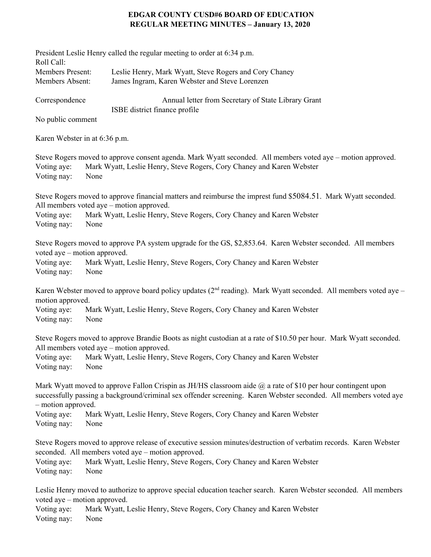## **EDGAR COUNTY CUSD#6 BOARD OF EDUCATION REGULAR MEETING MINUTES – January 13, 2020**

| Roll Call:                                                 | President Leslie Henry called the regular meeting to order at 6:34 p.m.                                                                                                                                                                          |
|------------------------------------------------------------|--------------------------------------------------------------------------------------------------------------------------------------------------------------------------------------------------------------------------------------------------|
| Members Present:<br>Members Absent:                        | Leslie Henry, Mark Wyatt, Steve Rogers and Cory Chaney<br>James Ingram, Karen Webster and Steve Lorenzen                                                                                                                                         |
| Correspondence                                             | Annual letter from Secretary of State Library Grant<br>ISBE district finance profile                                                                                                                                                             |
| No public comment                                          |                                                                                                                                                                                                                                                  |
| Karen Webster in at 6:36 p.m.                              |                                                                                                                                                                                                                                                  |
| Voting aye:<br>Voting nay:                                 | Steve Rogers moved to approve consent agenda. Mark Wyatt seconded. All members voted aye – motion approved.<br>Mark Wyatt, Leslie Henry, Steve Rogers, Cory Chaney and Karen Webster<br>None                                                     |
| Voting aye:<br>Voting nay:                                 | Steve Rogers moved to approve financial matters and reimburse the imprest fund \$5084.51. Mark Wyatt seconded.<br>All members voted aye – motion approved.<br>Mark Wyatt, Leslie Henry, Steve Rogers, Cory Chaney and Karen Webster<br>None      |
| voted aye – motion approved.<br>Voting aye:<br>Voting nay: | Steve Rogers moved to approve PA system upgrade for the GS, \$2,853.64. Karen Webster seconded. All members<br>Mark Wyatt, Leslie Henry, Steve Rogers, Cory Chaney and Karen Webster<br>None                                                     |
| motion approved.                                           | Karen Webster moved to approve board policy updates ( $2nd$ reading). Mark Wyatt seconded. All members voted aye –                                                                                                                               |
| Voting aye:<br>Voting nay:                                 | Mark Wyatt, Leslie Henry, Steve Rogers, Cory Chaney and Karen Webster<br>None                                                                                                                                                                    |
| Voting aye:<br>Voting nay:                                 | Steve Rogers moved to approve Brandie Boots as night custodian at a rate of \$10.50 per hour. Mark Wyatt seconded.<br>All members voted aye – motion approved.<br>Mark Wyatt, Leslie Henry, Steve Rogers, Cory Chaney and Karen Webster<br>None  |
| - motion approved.                                         | Mark Wyatt moved to approve Fallon Crispin as JH/HS classroom aide $\omega$ a rate of \$10 per hour contingent upon<br>successfully passing a background/criminal sex offender screening. Karen Webster seconded. All members voted aye          |
| Voting aye:<br>Voting nay:                                 | Mark Wyatt, Leslie Henry, Steve Rogers, Cory Chaney and Karen Webster<br>None                                                                                                                                                                    |
| Voting aye:                                                | Steve Rogers moved to approve release of executive session minutes/destruction of verbatim records. Karen Webster<br>seconded. All members voted aye – motion approved.<br>Mark Wyatt, Leslie Henry, Steve Rogers, Cory Chaney and Karen Webster |
| Voting nay:                                                | None                                                                                                                                                                                                                                             |
| voted aye – motion approved.<br>Voting aye:<br>Voting nay: | Leslie Henry moved to authorize to approve special education teacher search. Karen Webster seconded. All members<br>Mark Wyatt, Leslie Henry, Steve Rogers, Cory Chaney and Karen Webster<br>None                                                |